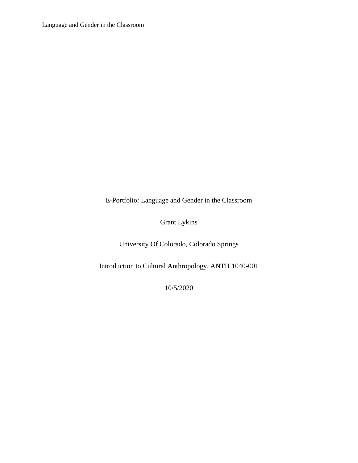E-Portfolio: Language and Gender in the Classroom

Grant Lykins

University Of Colorado, Colorado Springs

Introduction to Cultural Anthropology, ANTH 1040-001

10/5/2020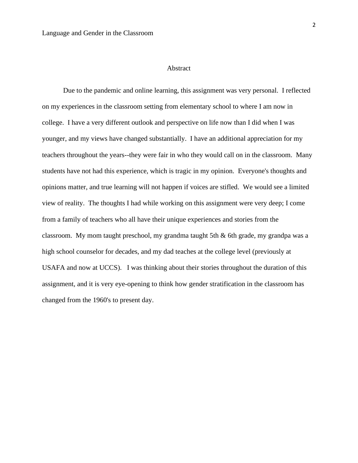#### Abstract

Due to the pandemic and online learning, this assignment was very personal. I reflected on my experiences in the classroom setting from elementary school to where I am now in college. I have a very different outlook and perspective on life now than I did when I was younger, and my views have changed substantially. I have an additional appreciation for my teachers throughout the years--they were fair in who they would call on in the classroom. Many students have not had this experience, which is tragic in my opinion. Everyone's thoughts and opinions matter, and true learning will not happen if voices are stifled. We would see a limited view of reality. The thoughts I had while working on this assignment were very deep; I come from a family of teachers who all have their unique experiences and stories from the classroom. My mom taught preschool, my grandma taught 5th & 6th grade, my grandpa was a high school counselor for decades, and my dad teaches at the college level (previously at USAFA and now at UCCS). I was thinking about their stories throughout the duration of this assignment, and it is very eye-opening to think how gender stratification in the classroom has changed from the 1960's to present day.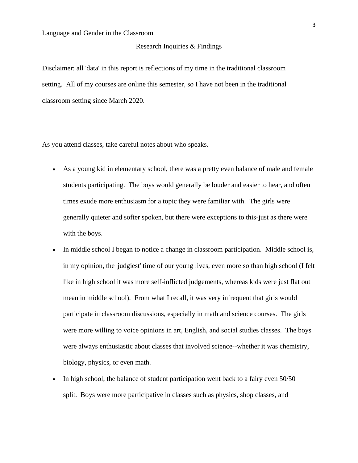#### Research Inquiries & Findings

Disclaimer: all 'data' in this report is reflections of my time in the traditional classroom setting. All of my courses are online this semester, so I have not been in the traditional classroom setting since March 2020.

As you attend classes, take careful notes about who speaks.

- As a young kid in elementary school, there was a pretty even balance of male and female students participating. The boys would generally be louder and easier to hear, and often times exude more enthusiasm for a topic they were familiar with. The girls were generally quieter and softer spoken, but there were exceptions to this-just as there were with the boys.
- In middle school I began to notice a change in classroom participation. Middle school is, in my opinion, the 'judgiest' time of our young lives, even more so than high school (I felt like in high school it was more self-inflicted judgements, whereas kids were just flat out mean in middle school). From what I recall, it was very infrequent that girls would participate in classroom discussions, especially in math and science courses. The girls were more willing to voice opinions in art, English, and social studies classes. The boys were always enthusiastic about classes that involved science--whether it was chemistry, biology, physics, or even math.
- In high school, the balance of student participation went back to a fairy even 50/50 split. Boys were more participative in classes such as physics, shop classes, and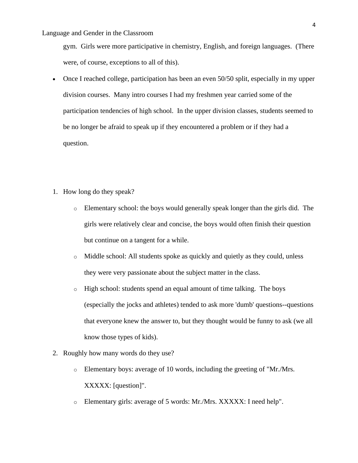gym. Girls were more participative in chemistry, English, and foreign languages. (There were, of course, exceptions to all of this).

- Once I reached college, participation has been an even 50/50 split, especially in my upper division courses. Many intro courses I had my freshmen year carried some of the participation tendencies of high school. In the upper division classes, students seemed to be no longer be afraid to speak up if they encountered a problem or if they had a question.
- 1. How long do they speak?
	- o Elementary school: the boys would generally speak longer than the girls did. The girls were relatively clear and concise, the boys would often finish their question but continue on a tangent for a while.
	- o Middle school: All students spoke as quickly and quietly as they could, unless they were very passionate about the subject matter in the class.
	- o High school: students spend an equal amount of time talking. The boys (especially the jocks and athletes) tended to ask more 'dumb' questions--questions that everyone knew the answer to, but they thought would be funny to ask (we all know those types of kids).
- 2. Roughly how many words do they use?
	- $\circ$  Elementary boys: average of 10 words, including the greeting of "Mr./Mrs. XXXXX: [question]".
	- o Elementary girls: average of 5 words: Mr./Mrs. XXXXX: I need help".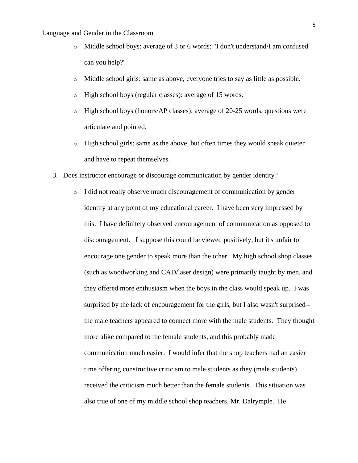- o Middle school boys: average of 3 or 6 words: "I don't understand/I am confused can you help?"
- o Middle school girls: same as above, everyone tries to say as little as possible.
- o High school boys (regular classes): average of 15 words.
- $\circ$  High school boys (honors/AP classes): average of 20-25 words, questions were articulate and pointed.
- $\circ$  High school girls: same as the above, but often times they would speak quieter and have to repeat themselves.
- 3. Does instructor encourage or discourage communication by gender identity?
	- o I did not really observe much discouragement of communication by gender identity at any point of my educational career. I have been very impressed by this. I have definitely observed encouragement of communication as opposed to discouragement. I suppose this could be viewed positively, but it's unfair to encourage one gender to speak more than the other. My high school shop classes (such as woodworking and CAD/laser design) were primarily taught by men, and they offered more enthusiasm when the boys in the class would speak up. I was surprised by the lack of encouragement for the girls, but I also wasn't surprised- the male teachers appeared to connect more with the male students. They thought more alike compared to the female students, and this probably made communication much easier. I would infer that the shop teachers had an easier time offering constructive criticism to male students as they (male students) received the criticism much better than the female students. This situation was also true of one of my middle school shop teachers, Mr. Dalrymple. He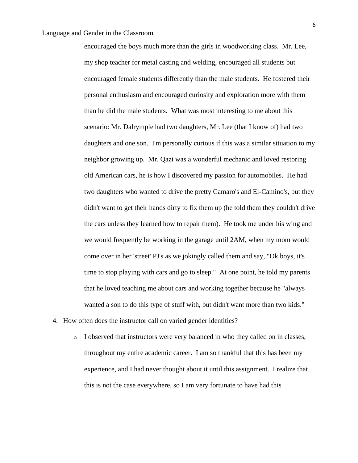encouraged the boys much more than the girls in woodworking class. Mr. Lee, my shop teacher for metal casting and welding, encouraged all students but encouraged female students differently than the male students. He fostered their personal enthusiasm and encouraged curiosity and exploration more with them than he did the male students. What was most interesting to me about this scenario: Mr. Dalrymple had two daughters, Mr. Lee (that I know of) had two daughters and one son. I'm personally curious if this was a similar situation to my neighbor growing up. Mr. Qazi was a wonderful mechanic and loved restoring old American cars, he is how I discovered my passion for automobiles. He had two daughters who wanted to drive the pretty Camaro's and El-Camino's, but they didn't want to get their hands dirty to fix them up (he told them they couldn't drive the cars unless they learned how to repair them). He took me under his wing and we would frequently be working in the garage until 2AM, when my mom would come over in her 'street' PJ's as we jokingly called them and say, "Ok boys, it's time to stop playing with cars and go to sleep." At one point, he told my parents that he loved teaching me about cars and working together because he "always wanted a son to do this type of stuff with, but didn't want more than two kids."

- 4. How often does the instructor call on varied gender identities?
	- $\circ$  I observed that instructors were very balanced in who they called on in classes, throughout my entire academic career. I am so thankful that this has been my experience, and I had never thought about it until this assignment. I realize that this is not the case everywhere, so I am very fortunate to have had this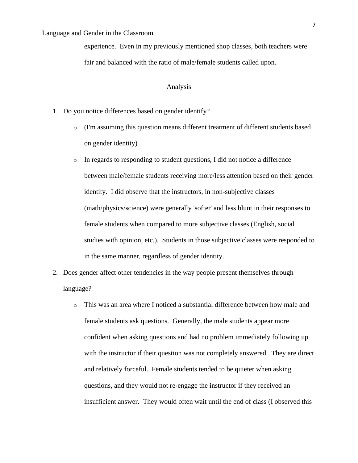experience. Even in my previously mentioned shop classes, both teachers were fair and balanced with the ratio of male/female students called upon.

# Analysis

- 1. Do you notice differences based on gender identify?
	- o (I'm assuming this question means different treatment of different students based on gender identity)
	- o In regards to responding to student questions, I did not notice a difference between male/female students receiving more/less attention based on their gender identity. I did observe that the instructors, in non-subjective classes (math/physics/science) were generally 'softer' and less blunt in their responses to female students when compared to more subjective classes (English, social studies with opinion, etc.). Students in those subjective classes were responded to in the same manner, regardless of gender identity.
- 2. Does gender affect other tendencies in the way people present themselves through language?
	- o This was an area where I noticed a substantial difference between how male and female students ask questions. Generally, the male students appear more confident when asking questions and had no problem immediately following up with the instructor if their question was not completely answered. They are direct and relatively forceful. Female students tended to be quieter when asking questions, and they would not re-engage the instructor if they received an insufficient answer. They would often wait until the end of class (I observed this